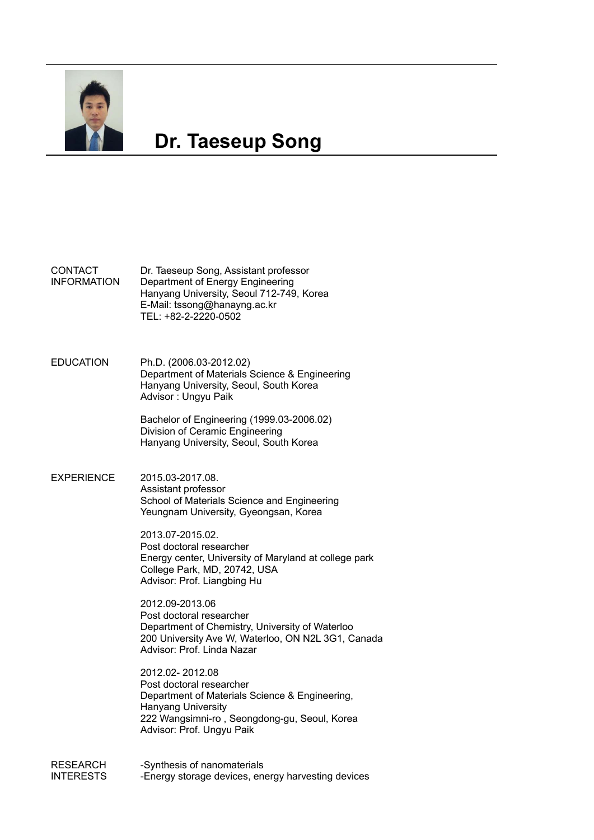

# **Dr. Taeseup Song**

#### **CONTACT** INFORMATION Dr. Taeseup Song, Assistant professor Department of Energy Engineering Hanyang University, Seoul 712-749, Korea E-Mail: tssong@hanayng.ac.kr TEL: +82-2-2220-0502

EDUCATION Ph.D. (2006.03-2012.02) Department of Materials Science & Engineering Hanyang University, Seoul, South Korea Advisor : Ungyu Paik

> Bachelor of Engineering (1999.03-2006.02) Division of Ceramic Engineering Hanyang University, Seoul, South Korea

### EXPERIENCE 2015.03-2017.08. Assistant professor School of Materials Science and Engineering Yeungnam University, Gyeongsan, Korea

2013.07-2015.02. Post doctoral researcher Energy center, University of Maryland at college park College Park, MD, 20742, USA Advisor: Prof. Liangbing Hu

2012.09-2013.06 Post doctoral researcher Department of Chemistry, University of Waterloo 200 University Ave W, Waterloo, ON N2L 3G1, Canada Advisor: Prof. Linda Nazar

2012.02- 2012.08 Post doctoral researcher Department of Materials Science & Engineering, Hanyang University 222 Wangsimni-ro , Seongdong-gu, Seoul, Korea Advisor: Prof. Ungyu Paik

RESEARCH INTERESTS -Synthesis of nanomaterials -Energy storage devices, energy harvesting devices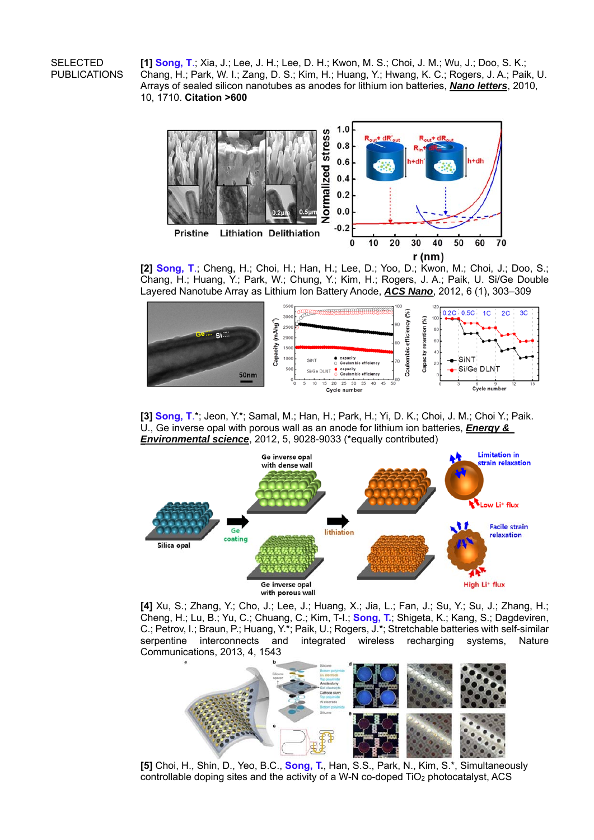## SELECTED PUBLICATIONS

**[1] Song, T**.; Xia, J.; Lee, J. H.; Lee, D. H.; Kwon, M. S.; Choi, J. M.; Wu, J.; Doo, S. K.; Chang, H.; Park, W. I.; Zang, D. S.; Kim, H.; Huang, Y.; Hwang, K. C.; Rogers, J. A.; Paik, U. Arrays of sealed silicon nanotubes as anodes for lithium ion batteries, *Nano letters*, 2010, 10, 1710. **Citation >600**



**[2] Song, T**.; Cheng, H.; Choi, H.; Han, H.; Lee, D.; Yoo, D.; Kwon, M.; Choi, J.; Doo, S.; Chang, H.; Huang, Y.; Park, W.; Chung, Y.; Kim, H.; Rogers, J. A.; Paik, U. Si/Ge Double Layered Nanotube Array as Lithium Ion Battery Anode, *ACS Nano*, 2012, 6 (1), 303–309



**[3] Song, T**.\*; Jeon, Y.\*; Samal, M.; Han, H.; Park, H.; Yi, D. K.; Choi, J. M.; Choi Y.; Paik. U., Ge inverse opal with porous wall as an anode for lithium ion batteries, *Energy & Environmental science*, 2012, 5, 9028-9033 (\*equally contributed)



**[4]** Xu, S.; Zhang, Y.; Cho, J.; Lee, J.; Huang, X.; Jia, L.; Fan, J.; Su, Y.; Su, J.; Zhang, H.; Cheng, H.; Lu, B.; Yu, C.; Chuang, C.; Kim, T-I.; **Song, T.**; Shigeta, K.; Kang, S.; Dagdeviren, C.; Petrov, I.; Braun, P.; Huang, Y.\*; Paik, U.; Rogers, J.\*; Stretchable batteries with self-similar serpentine interconnects and integrated wireless recharging systems, Nature Communications, 2013, 4, 1543



**[5]** Choi, H., Shin, D., Yeo, B.C., **Song, T.**, Han, S.S., Park, N., Kim, S.\*, Simultaneously controllable doping sites and the activity of a W-N co-doped TiO2 photocatalyst, ACS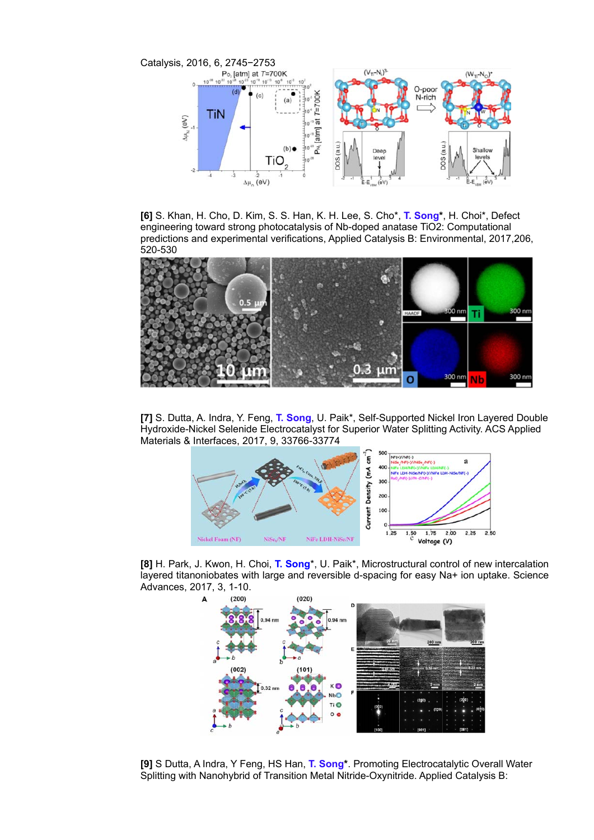

**[6]** S. Khan, H. Cho, D. Kim, S. S. Han, K. H. Lee, S. Cho\*, **T. Song\***, H. Choi\*, Defect engineering toward strong photocatalysis of Nb-doped anatase TiO2: Computational predictions and experimental verifications, Applied Catalysis B: Environmental, 2017,206, 520-530



**[7]** S. Dutta, A. Indra, Y. Feng, **T. Song**, U. Paik\*, Self-Supported Nickel Iron Layered Double Hydroxide-Nickel Selenide Electrocatalyst for Superior Water Splitting Activity. ACS Applied Materials & Interfaces, 2017, 9, 33766-33774



**[8]** H. Park, J. Kwon, H. Choi, **T. Song**\*, U. Paik\*, Microstructural control of new intercalation layered titanoniobates with large and reversible d-spacing for easy Na+ ion uptake. Science Advances, 2017, 3, 1-10.



**[9]** S Dutta, A Indra, Y Feng, HS Han, **T. Song\***. Promoting Electrocatalytic Overall Water Splitting with Nanohybrid of Transition Metal Nitride-Oxynitride. Applied Catalysis B: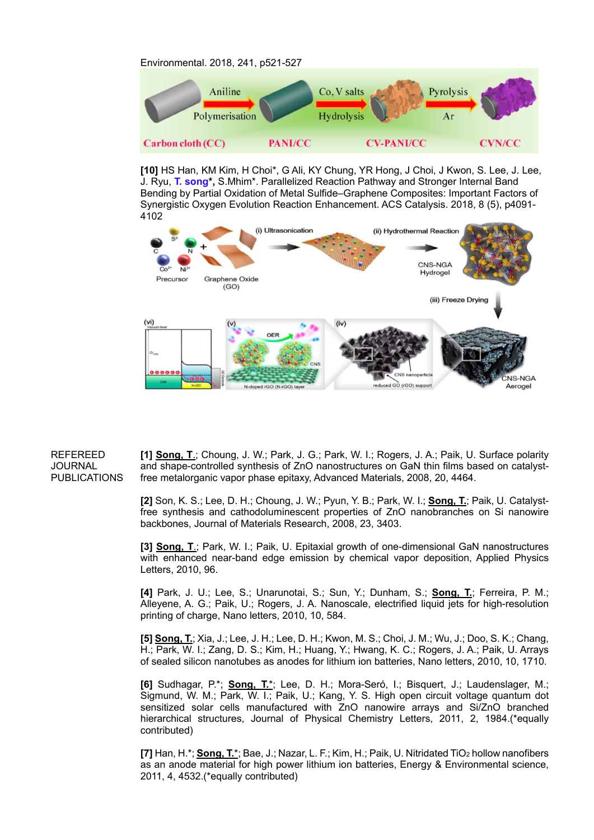Environmental. 2018, 241, p521-527



**[10]** HS Han, KM Kim, H Choi\*, G Ali, KY Chung, YR Hong, J Choi, J Kwon, S. Lee, J. Lee, J. Ryu, **T. song\*,** S.Mhim\*. Parallelized Reaction Pathway and Stronger Internal Band Bending by Partial Oxidation of Metal Sulfide–Graphene Composites: Important Factors of Synergistic Oxygen Evolution Reaction Enhancement. ACS Catalysis. 2018, 8 (5), p4091- 4102



#### REFEREED JOURNAL PUBLICATIONS

**[1] Song, T**.; Choung, J. W.; Park, J. G.; Park, W. I.; Rogers, J. A.; Paik, U. Surface polarity and shape-controlled synthesis of ZnO nanostructures on GaN thin films based on catalystfree metalorganic vapor phase epitaxy, Advanced Materials, 2008, 20, 4464.

**[2]** Son, K. S.; Lee, D. H.; Choung, J. W.; Pyun, Y. B.; Park, W. I.; **Song, T.**; Paik, U. Catalystfree synthesis and cathodoluminescent properties of ZnO nanobranches on Si nanowire backbones, Journal of Materials Research, 2008, 23, 3403.

**[3] Song, T**.; Park, W. I.; Paik, U. Epitaxial growth of one-dimensional GaN nanostructures with enhanced near-band edge emission by chemical vapor deposition, Applied Physics Letters, 2010, 96.

**[4]** Park, J. U.; Lee, S.; Unarunotai, S.; Sun, Y.; Dunham, S.; **Song, T.**; Ferreira, P. M.; Alleyene, A. G.; Paik, U.; Rogers, J. A. Nanoscale, electrified liquid jets for high-resolution printing of charge, Nano letters, 2010, 10, 584.

**[5] Song, T.**; Xia, J.; Lee, J. H.; Lee, D. H.; Kwon, M. S.; Choi, J. M.; Wu, J.; Doo, S. K.; Chang, H.; Park, W. I.; Zang, D. S.; Kim, H.; Huang, Y.; Hwang, K. C.; Rogers, J. A.; Paik, U. Arrays of sealed silicon nanotubes as anodes for lithium ion batteries, Nano letters, 2010, 10, 1710.

**[6]** Sudhagar, P.\*; **Song, T.**\*; Lee, D. H.; Mora-Seró, I.; Bisquert, J.; Laudenslager, M.; Sigmund, W. M.; Park, W. I.; Paik, U.; Kang, Y. S. High open circuit voltage quantum dot sensitized solar cells manufactured with ZnO nanowire arrays and Si/ZnO branched hierarchical structures, Journal of Physical Chemistry Letters, 2011, 2, 1984.(\*equally contributed)

**[7]** Han, H.\*; **Song, T.**\*; Bae, J.; Nazar, L. F.; Kim, H.; Paik, U. Nitridated TiO2 hollow nanofibers as an anode material for high power lithium ion batteries, Energy & Environmental science, 2011, 4, 4532.(\*equally contributed)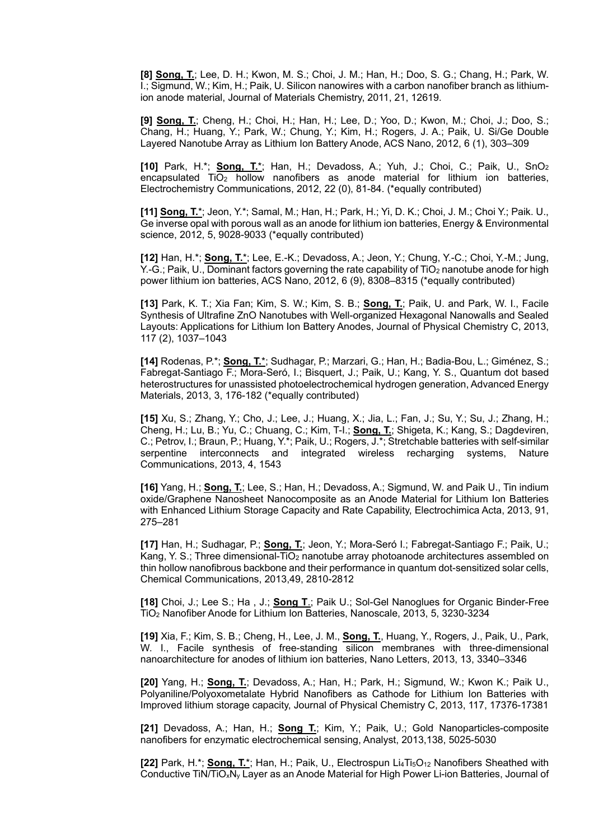**[8] Song, T.**; Lee, D. H.; Kwon, M. S.; Choi, J. M.; Han, H.; Doo, S. G.; Chang, H.; Park, W. I.; Sigmund, W.; Kim, H.; Paik, U. Silicon nanowires with a carbon nanofiber branch as lithiumion anode material, Journal of Materials Chemistry, 2011, 21, 12619.

**[9] Song, T.**; Cheng, H.; Choi, H.; Han, H.; Lee, D.; Yoo, D.; Kwon, M.; Choi, J.; Doo, S.; Chang, H.; Huang, Y.; Park, W.; Chung, Y.; Kim, H.; Rogers, J. A.; Paik, U. Si/Ge Double Layered Nanotube Array as Lithium Ion Battery Anode, ACS Nano, 2012, 6 (1), 303–309

**[10]** Park, H.\*; **Song, T.**\*; Han, H.; Devadoss, A.; Yuh, J.; Choi, C.; Paik, U., SnO2 encapsulated TiO<sub>2</sub> hollow nanofibers as anode material for lithium ion batteries, Electrochemistry Communications, 2012, 22 (0), 81-84. (\*equally contributed)

**[11] Song, T.**\*; Jeon, Y.\*; Samal, M.; Han, H.; Park, H.; Yi, D. K.; Choi, J. M.; Choi Y.; Paik. U., Ge inverse opal with porous wall as an anode for lithium ion batteries, Energy & Environmental science, 2012, 5, 9028-9033 (\*equally contributed)

**[12]** Han, H.\*; **Song, T.**\*; Lee, E.-K.; Devadoss, A.; Jeon, Y.; Chung, Y.-C.; Choi, Y.-M.; Jung, Y.-G.; Paik, U., Dominant factors governing the rate capability of TiO<sub>2</sub> nanotube anode for high power lithium ion batteries, ACS Nano, 2012, 6 (9), 8308–8315 (\*equally contributed)

**[13]** Park, K. T.; Xia Fan; Kim, S. W.; Kim, S. B.; **Song, T.**; Paik, U. and Park, W. I., Facile Synthesis of Ultrafine ZnO Nanotubes with Well-organized Hexagonal Nanowalls and Sealed Layouts: Applications for Lithium Ion Battery Anodes, Journal of Physical Chemistry C, 2013, 117 (2), 1037–1043

**[14]** Rodenas, P.\*; **Song, T.**\*; Sudhagar, P.; Marzari, G.; Han, H.; Badia-Bou, L.; Giménez, S.; Fabregat-Santiago F.; Mora-Seró, I.; Bisquert, J.; Paik, U.; Kang, Y. S., Quantum dot based heterostructures for unassisted photoelectrochemical hydrogen generation, Advanced Energy Materials, 2013, 3, 176-182 (\*equally contributed)

**[15]** Xu, S.; Zhang, Y.; Cho, J.; Lee, J.; Huang, X.; Jia, L.; Fan, J.; Su, Y.; Su, J.; Zhang, H.; Cheng, H.; Lu, B.; Yu, C.; Chuang, C.; Kim, T-I.; **Song, T.**; Shigeta, K.; Kang, S.; Dagdeviren, C.; Petrov, I.; Braun, P.; Huang, Y.\*; Paik, U.; Rogers, J.\*; Stretchable batteries with self-similar serpentine interconnects and integrated wireless recharging systems, Nature Communications, 2013, 4, 1543

**[16]** Yang, H.; **Song, T.**; Lee, S.; Han, H.; Devadoss, A.; Sigmund, W. and Paik U., Tin indium oxide/Graphene Nanosheet Nanocomposite as an Anode Material for Lithium Ion Batteries with Enhanced Lithium Storage Capacity and Rate Capability, Electrochimica Acta, 2013, 91, 275–281

**[17]** Han, H.; Sudhagar, P.; **Song, T.**; Jeon, Y.; Mora-Seró I.; Fabregat-Santiago F.; Paik, U.; Kang, Y. S.; Three dimensional-TiO<sub>2</sub> nanotube array photoanode architectures assembled on thin hollow nanofibrous backbone and their performance in quantum dot-sensitized solar cells, Chemical Communications, 2013,49, 2810-2812

**[18]** Choi, J.; Lee S.; Ha , J.; **Song T**.; Paik U.; Sol-Gel Nanoglues for Organic Binder-Free TiO2 Nanofiber Anode for Lithium Ion Batteries, Nanoscale, 2013, 5, 3230-3234

**[19]** Xia, F.; Kim, S. B.; Cheng, H., Lee, J. M., **Song, T.**, Huang, Y., Rogers, J., Paik, U., Park, W. I., Facile synthesis of free-standing silicon membranes with three-dimensional nanoarchitecture for anodes of lithium ion batteries, Nano Letters, 2013, 13, 3340–3346

**[20]** Yang, H.; **Song, T.**; Devadoss, A.; Han, H.; Park, H.; Sigmund, W.; Kwon K.; Paik U., Polyaniline/Polyoxometalate Hybrid Nanofibers as Cathode for Lithium Ion Batteries with Improved lithium storage capacity, Journal of Physical Chemistry C, 2013, 117, 17376-17381

**[21]** Devadoss, A.; Han, H.; **Song T.**; Kim, Y.; Paik, U.; Gold Nanoparticles-composite nanofibers for enzymatic electrochemical sensing, Analyst, 2013,138, 5025-5030

**[22]** Park, H.\*; **Song, T.**\*; Han, H.; Paik, U., Electrospun Li<sub>4</sub>Ti<sub>5</sub>O<sub>12</sub> Nanofibers Sheathed with Conductive TiN/TiOxNy Layer as an Anode Material for High Power Li-ion Batteries, Journal of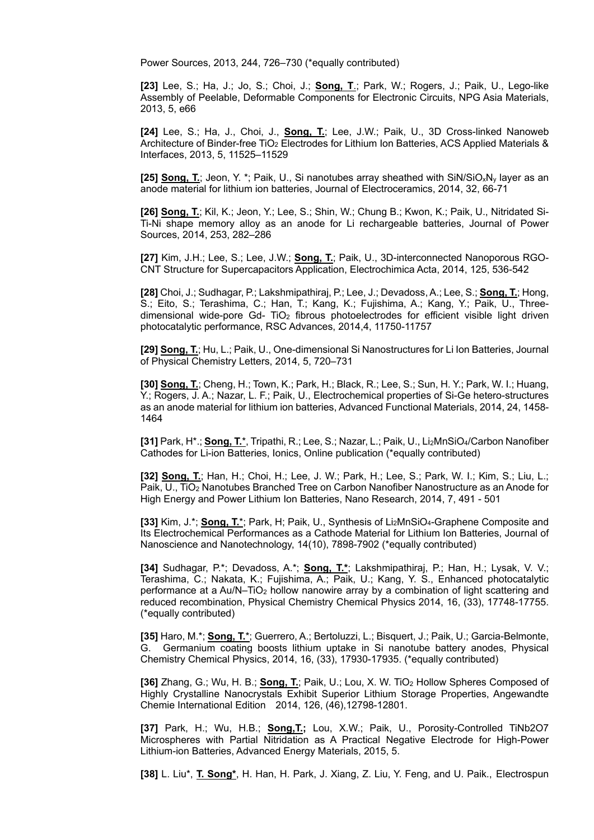Power Sources, 2013, 244, 726–730 (\*equally contributed)

**[23]** Lee, S.; Ha, J.; Jo, S.; Choi, J.; **Song, T**.; Park, W.; Rogers, J.; Paik, U., Lego-like Assembly of Peelable, Deformable Components for Electronic Circuits, NPG Asia Materials, 2013, 5, e66

**[24]** Lee, S.; Ha, J., Choi, J., **Song, T.**; Lee, J.W.; Paik, U., 3D Cross-linked Nanoweb Architecture of Binder-free TiO<sub>2</sub> Electrodes for Lithium Ion Batteries, ACS Applied Materials & Interfaces, 2013, 5, 11525–11529

**[25] Song, T.**; Jeon, Y. \*; Paik, U., Si nanotubes array sheathed with SiN/SiO<sub>x</sub>N<sub>y</sub> layer as an anode material for lithium ion batteries, Journal of Electroceramics, 2014, 32, 66-71

**[26] Song, T.**; Kil, K.; Jeon, Y.; Lee, S.; Shin, W.; Chung B.; Kwon, K.; Paik, U., Nitridated Si-Ti-Ni shape memory alloy as an anode for Li rechargeable batteries, Journal of Power Sources, 2014, 253, 282–286

**[27]** Kim, J.H.; Lee, S.; Lee, J.W.; **Song, T.**; Paik, U., 3D-interconnected Nanoporous RGO-CNT Structure for Supercapacitors Application, Electrochimica Acta, 2014, 125, 536-542

**[28]** Choi, J.; Sudhagar, P.; Lakshmipathiraj, P.; Lee, J.; Devadoss, A.; Lee, S.; **Song, T.**; Hong, S.; Eito, S.; Terashima, C.; Han, T.; Kang, K.; Fujishima, A.; Kang, Y.; Paik, U., Threedimensional wide-pore  $Gd- TiO<sub>2</sub>$  fibrous photoelectrodes for efficient visible light driven photocatalytic performance, RSC Advances, 2014,4, 11750-11757

**[29] Song, T.**; Hu, L.; Paik, U., One-dimensional Si Nanostructures for Li Ion Batteries, Journal of Physical Chemistry Letters, 2014, 5, 720–731

**[30] Song, T.**; Cheng, H.; Town, K.; Park, H.; Black, R.; Lee, S.; Sun, H. Y.; Park, W. I.; Huang, Y.; Rogers, J. A.; Nazar, L. F.; Paik, U., Electrochemical properties of Si-Ge hetero-structures as an anode material for lithium ion batteries, Advanced Functional Materials, 2014, 24, 1458- 1464

**[31]** Park, H\*.; **Song, T.**\*, Tripathi, R.; Lee, S.; Nazar, L.; Paik, U., Li2MnSiO4/Carbon Nanofiber Cathodes for Li-ion Batteries, Ionics, Online publication (\*equally contributed)

**[32] Song, T.**; Han, H.; Choi, H.; Lee, J. W.; Park, H.; Lee, S.; Park, W. I.; Kim, S.; Liu, L.; Paik, U., TiO2 Nanotubes Branched Tree on Carbon Nanofiber Nanostructure as an Anode for High Energy and Power Lithium Ion Batteries, Nano Research, 2014, 7, 491 - 501

**[33]** Kim, J.\*; **Song, T.**\*; Park, H; Paik, U., Synthesis of Li2MnSiO4-Graphene Composite and Its Electrochemical Performances as a Cathode Material for Lithium Ion Batteries, Journal of Nanoscience and Nanotechnology, 14(10), 7898-7902 (\*equally contributed)

**[34]** Sudhagar, P.\*; Devadoss, A.\*; **Song, T.\***; Lakshmipathiraj, P.; Han, H.; Lysak, V. V.; Terashima, C.; Nakata, K.; Fujishima, A.; Paik, U.; Kang, Y. S., Enhanced photocatalytic performance at a Au/N–TiO2 hollow nanowire array by a combination of light scattering and reduced recombination, Physical Chemistry Chemical Physics 2014, 16, (33), 17748-17755. (\*equally contributed)

**[35]** Haro, M.\*; **Song, T.**\*; Guerrero, A.; Bertoluzzi, L.; Bisquert, J.; Paik, U.; Garcia-Belmonte, G. Germanium coating boosts lithium uptake in Si nanotube battery anodes, Physical Chemistry Chemical Physics, 2014, 16, (33), 17930-17935. (\*equally contributed)

**[36]** Zhang, G.; Wu, H. B.; **Song, T.**; Paik, U.; Lou, X. W. TiO2 Hollow Spheres Composed of Highly Crystalline Nanocrystals Exhibit Superior Lithium Storage Properties, Angewandte Chemie International Edition 2014, 126, (46),12798-12801.

**[37]** Park, H.; Wu, H.B.; **Song,T.;** Lou, X.W.; Paik, U., Porosity-Controlled TiNb2O7 Microspheres with Partial Nitridation as A Practical Negative Electrode for High-Power Lithium-ion Batteries, Advanced Energy Materials, 2015, 5.

**[38]** L. Liu\*, **T. Song\***, H. Han, H. Park, J. Xiang, Z. Liu, Y. Feng, and U. Paik., Electrospun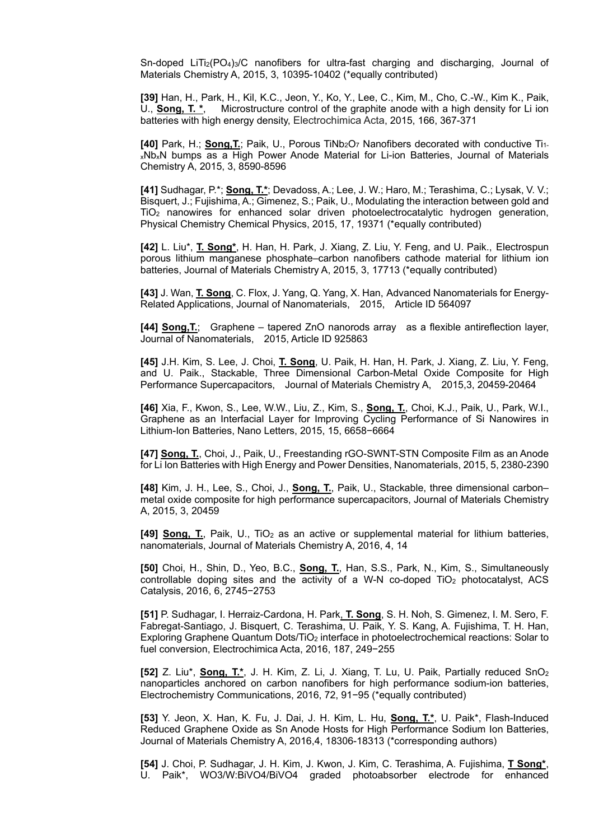Sn-doped  $LiTi<sub>2</sub>(PO<sub>4</sub>)<sub>3</sub>/C$  nanofibers for ultra-fast charging and discharging, Journal of Materials Chemistry A, 2015, 3, 10395-10402 (\*equally contributed)

**[39]** Han, H., Park, H., Kil, K.C., Jeon, Y., Ko, Y., Lee, C., Kim, M., Cho, C.-W., Kim K., Paik, U., **Song, T. \***, Microstructure control of the graphite anode with a high density for Li ion batteries with high energy density, Electrochimica Acta, 2015, 166, 367-371

**[40]** Park, H.; **Song,T.**; Paik, U., Porous TiNb2O7 Nanofibers decorated with conductive Ti1 xNbxN bumps as a High Power Anode Material for Li-ion Batteries, Journal of Materials Chemistry A, 2015, 3, 8590-8596

**[41]** Sudhagar, P.\*; **Song, T.\***; Devadoss, A.; Lee, J. W.; Haro, M.; Terashima, C.; Lysak, V. V.; Bisquert, J.; Fujishima, A.; Gimenez, S.; Paik, U., Modulating the interaction between gold and TiO2 nanowires for enhanced solar driven photoelectrocatalytic hydrogen generation, Physical Chemistry Chemical Physics, 2015, 17, 19371 (\*equally contributed)

**[42]** L. Liu\*, **T. Song\***, H. Han, H. Park, J. Xiang, Z. Liu, Y. Feng, and U. Paik., Electrospun porous lithium manganese phosphate–carbon nanofibers cathode material for lithium ion batteries, Journal of Materials Chemistry A, 2015, 3, 17713 (\*equally contributed)

**[43]** J. Wan, **T. Song**, C. Flox, J. Yang, Q. Yang, X. Han, Advanced Nanomaterials for Energy-Related Applications, Journal of Nanomaterials, 2015, Article ID 564097

**[44] Song,T.**; Graphene – tapered ZnO nanorods array as a flexible antireflection layer, Journal of Nanomaterials, 2015, Article ID 925863

**[45]** J.H. Kim, S. Lee, J. Choi, **T. Song**, U. Paik, H. Han, H. Park, J. Xiang, Z. Liu, Y. Feng, and U. Paik., Stackable, Three Dimensional Carbon-Metal Oxide Composite for High Performance Supercapacitors, Journal of Materials Chemistry A, 2015,3, 20459-20464

**[46]** Xia, F., Kwon, S., Lee, W.W., Liu, Z., Kim, S., **Song, T.**, Choi, K.J., Paik, U., Park, W.I., Graphene as an Interfacial Layer for Improving Cycling Performance of Si Nanowires in Lithium-Ion Batteries, Nano Letters, 2015, 15, 6658−6664

**[47] Song, T.**, Choi, J., Paik, U., Freestanding rGO-SWNT-STN Composite Film as an Anode for Li Ion Batteries with High Energy and Power Densities, Nanomaterials, 2015, 5, 2380-2390

**[48]** Kim, J. H., Lee, S., Choi, J., **Song, T.**, Paik, U., Stackable, three dimensional carbon– metal oxide composite for high performance supercapacitors, Journal of Materials Chemistry A, 2015, 3, 20459

**[49] Song, T.**, Paik, U., TiO2 as an active or supplemental material for lithium batteries, nanomaterials, Journal of Materials Chemistry A, 2016, 4, 14

**[50]** Choi, H., Shin, D., Yeo, B.C., **Song, T.**, Han, S.S., Park, N., Kim, S., Simultaneously controllable doping sites and the activity of a W-N co-doped  $TiO<sub>2</sub>$  photocatalyst, ACS Catalysis, 2016, 6, 2745−2753

**[51]** P. Sudhagar, I. Herraiz-Cardona, H. Park, **T. Song**, S. H. Noh, S. Gimenez, I. M. Sero, F. Fabregat-Santiago, J. Bisquert, C. Terashima, U. Paik, Y. S. Kang, A. Fujishima, T. H. Han, Exploring Graphene Quantum Dots/TiO2 interface in photoelectrochemical reactions: Solar to fuel conversion, Electrochimica Acta, 2016, 187, 249−255

**[52]** Z. Liu\*, **Song, T.\***, J. H. Kim, Z. Li, J. Xiang, T. Lu, U. Paik, Partially reduced SnO2 nanoparticles anchored on carbon nanofibers for high performance sodium-ion batteries, Electrochemistry Communications, 2016, 72, 91−95 (\*equally contributed)

**[53]** Y. Jeon, X. Han, K. Fu, J. Dai, J. H. Kim, L. Hu, **Song, T.\***, U. Paik\*, Flash-Induced Reduced Graphene Oxide as Sn Anode Hosts for High Performance Sodium Ion Batteries, Journal of Materials Chemistry A, 2016,4, 18306-18313 (\*corresponding authors)

**[54]** J. Choi, P. Sudhagar, J. H. Kim, J. Kwon, J. Kim, C. Terashima, A. Fujishima, **T Song\***, U. Paik\*, WO3/W:BiVO4/BiVO4 graded photoabsorber electrode for enhanced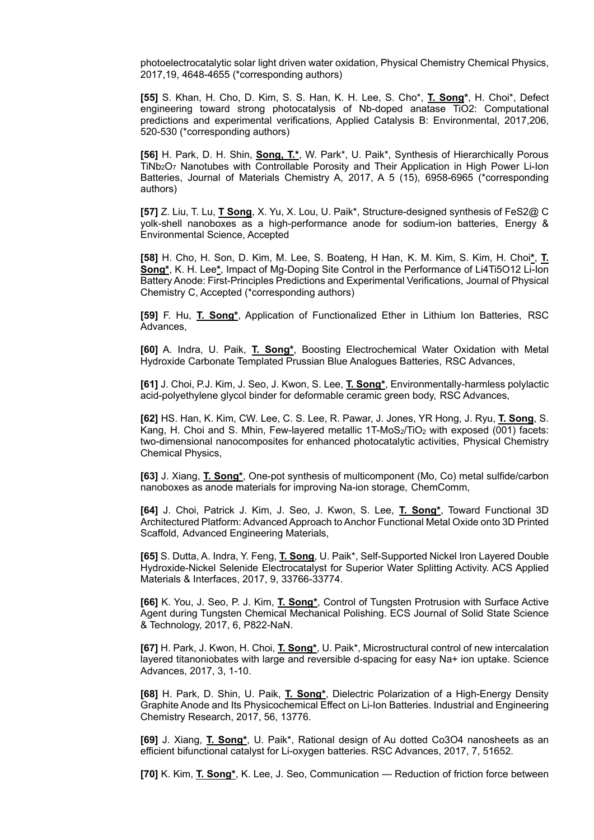photoelectrocatalytic solar light driven water oxidation, Physical Chemistry Chemical Physics, 2017,19, 4648-4655 (\*corresponding authors)

**[55]** S. Khan, H. Cho, D. Kim, S. S. Han, K. H. Lee, S. Cho\*, **T. Song\***, H. Choi\*, Defect engineering toward strong photocatalysis of Nb-doped anatase TiO2: Computational predictions and experimental verifications, Applied Catalysis B: Environmental, 2017,206, 520-530 (\*corresponding authors)

**[56]** H. Park, D. H. Shin, **Song, T.\***, W. Park\*, U. Paik\*, Synthesis of Hierarchically Porous TiNb2O7 Nanotubes with Controllable Porosity and Their Application in High Power Li-Ion Batteries, Journal of Materials Chemistry A, 2017, A 5 (15), 6958-6965 (\*corresponding authors)

**[57]** Z. Liu, T. Lu, **T Song**, X. Yu, X. Lou, U. Paik\*, Structure-designed synthesis of FeS2@ C yolk-shell nanoboxes as a high-performance anode for sodium-ion batteries, Energy & Environmental Science, Accepted

**[58]** H. Cho, H. Son, D. Kim, M. Lee, S. Boateng, H Han, K. M. Kim, S. Kim, H. Choi**\***, **T. Song\***, K. H. Lee**\***, Impact of Mg-Doping Site Control in the Performance of Li4Ti5O12 Li-Ion Battery Anode: First-Principles Predictions and Experimental Verifications, Journal of Physical Chemistry C, Accepted (\*corresponding authors)

**[59]** F. Hu, **T. Song\***, Application of Functionalized Ether in Lithium Ion Batteries, RSC Advances,

**[60]** A. Indra, U. Paik, **T. Song\***, Boosting Electrochemical Water Oxidation with Metal Hydroxide Carbonate Templated Prussian Blue Analogues Batteries, RSC Advances,

**[61]** J. Choi, P.J. Kim, J. Seo, J. Kwon, S. Lee, **T. Song\***, Environmentally-harmless polylactic acid-polyethylene glycol binder for deformable ceramic green body, RSC Advances,

**[62]** HS. Han, K. Kim, CW. Lee, C. S. Lee, R. Pawar, J. Jones, YR Hong, J. Ryu, **T. Song**, S. Kang, H. Choi and S. Mhin, Few-layered metallic  $1T-M \text{OS}_2/T \text{IO}_2$  with exposed (001) facets: two-dimensional nanocomposites for enhanced photocatalytic activities, Physical Chemistry Chemical Physics,

**[63]** J. Xiang, **T. Song\***, One-pot synthesis of multicomponent (Mo, Co) metal sulfide/carbon nanoboxes as anode materials for improving Na-ion storage, ChemComm,

**[64]** J. Choi, Patrick J. Kim, J. Seo, J. Kwon, S. Lee, **T. Song\***, Toward Functional 3D Architectured Platform: Advanced Approach to Anchor Functional Metal Oxide onto 3D Printed Scaffold, Advanced Engineering Materials,

**[65]** S. Dutta, A. Indra, Y. Feng, **T. Song**, U. Paik\*, Self-Supported Nickel Iron Layered Double Hydroxide-Nickel Selenide Electrocatalyst for Superior Water Splitting Activity. ACS Applied Materials & Interfaces, 2017, 9, 33766-33774.

**[66]** K. You, J. Seo, P. J. Kim, **T. Song\***, Control of Tungsten Protrusion with Surface Active Agent during Tungsten Chemical Mechanical Polishing. ECS Journal of Solid State Science & Technology, 2017, 6, P822-NaN.

**[67]** H. Park, J. Kwon, H. Choi, **T. Song\***, U. Paik\*, Microstructural control of new intercalation layered titanoniobates with large and reversible d-spacing for easy Na+ ion uptake. Science Advances, 2017, 3, 1-10.

**[68]** H. Park, D. Shin, U. Paik, **T. Song\***, Dielectric Polarization of a High-Energy Density Graphite Anode and Its Physicochemical Effect on Li-Ion Batteries. Industrial and Engineering Chemistry Research, 2017, 56, 13776.

**[69]** J. Xiang, **T. Song\***, U. Paik\*, Rational design of Au dotted Co3O4 nanosheets as an efficient bifunctional catalyst for Li-oxygen batteries. RSC Advances, 2017, 7, 51652.

**[70]** K. Kim, **T. Song\***, K. Lee, J. Seo, Communication — Reduction of friction force between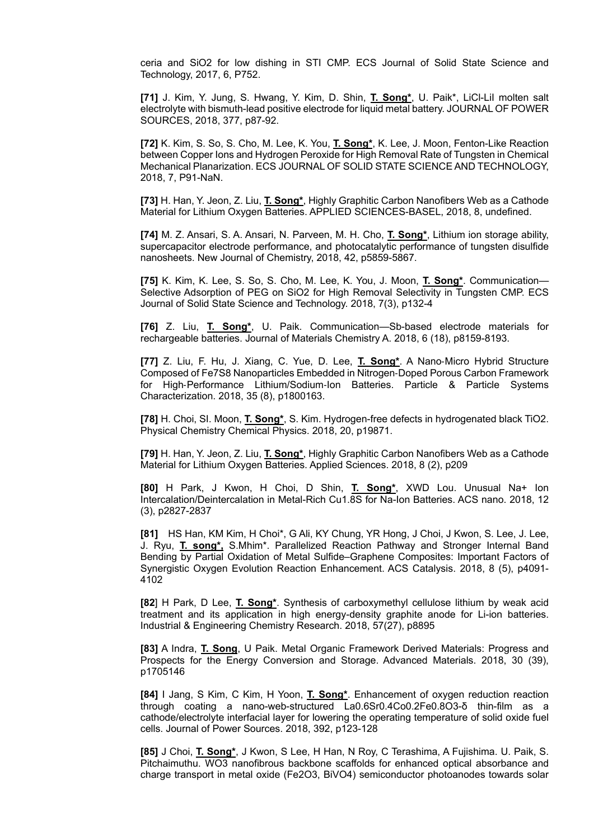ceria and SiO2 for low dishing in STI CMP. ECS Journal of Solid State Science and Technology, 2017, 6, P752.

**[71]** J. Kim, Y. Jung, S. Hwang, Y. Kim, D. Shin, **T. Song\***, U. Paik\*, LiCl-LiI molten salt electrolyte with bismuth-lead positive electrode for liquid metal battery. JOURNAL OF POWER SOURCES, 2018, 377, p87-92.

**[72]** K. Kim, S. So, S. Cho, M. Lee, K. You, **T. Song\***, K. Lee, J. Moon, Fenton-Like Reaction between Copper Ions and Hydrogen Peroxide for High Removal Rate of Tungsten in Chemical Mechanical Planarization. ECS JOURNAL OF SOLID STATE SCIENCE AND TECHNOLOGY, 2018, 7, P91-NaN.

**[73]** H. Han, Y. Jeon, Z. Liu, **T. Song\***, Highly Graphitic Carbon Nanofibers Web as a Cathode Material for Lithium Oxygen Batteries. APPLIED SCIENCES-BASEL, 2018, 8, undefined.

**[74]** M. Z. Ansari, S. A. Ansari, N. Parveen, M. H. Cho, **T. Song\***, Lithium ion storage ability, supercapacitor electrode performance, and photocatalytic performance of tungsten disulfide nanosheets. New Journal of Chemistry, 2018, 42, p5859-5867.

**[75]** K. Kim, K. Lee, S. So, S. Cho, M. Lee, K. You, J. Moon, **T. Song\***. Communication— Selective Adsorption of PEG on SiO2 for High Removal Selectivity in Tungsten CMP. ECS Journal of Solid State Science and Technology. 2018, 7(3), p132-4

**[76]** Z. Liu, **T. Song\***, U. Paik. Communication—Sb-based electrode materials for rechargeable batteries. Journal of Materials Chemistry A. 2018, 6 (18), p8159-8193.

**[77]** Z. Liu, F. Hu, J. Xiang, C. Yue, D. Lee, **T. Song\***. A Nano-Micro Hybrid Structure Composed of Fe7S8 Nanoparticles Embedded in Nitrogen-Doped Porous Carbon Framework for High-Performance Lithium/Sodium-Ion Batteries. Particle & Particle Systems Characterization. 2018, 35 (8), p1800163.

**[78]** H. Choi, SI. Moon, **T. Song\***, S. Kim. Hydrogen-free defects in hydrogenated black TiO2. Physical Chemistry Chemical Physics. 2018, 20, p19871.

**[79]** H. Han, Y. Jeon, Z. Liu, **T. Song\***, Highly Graphitic Carbon Nanofibers Web as a Cathode Material for Lithium Oxygen Batteries. Applied Sciences. 2018, 8 (2), p209

**[80]** H Park, J Kwon, H Choi, D Shin, **T. Song\***, XWD Lou. Unusual Na+ Ion Intercalation/Deintercalation in Metal-Rich Cu1.8S for Na-Ion Batteries. ACS nano. 2018, 12 (3), p2827-2837

**[81]** HS Han, KM Kim, H Choi\*, G Ali, KY Chung, YR Hong, J Choi, J Kwon, S. Lee, J. Lee, J. Ryu, **T. song\*,** S.Mhim\*. Parallelized Reaction Pathway and Stronger Internal Band Bending by Partial Oxidation of Metal Sulfide–Graphene Composites: Important Factors of Synergistic Oxygen Evolution Reaction Enhancement. ACS Catalysis. 2018, 8 (5), p4091- 4102

**[82**] H Park, D Lee, **T. Song\***. Synthesis of carboxymethyl cellulose lithium by weak acid treatment and its application in high energy-density graphite anode for Li-ion batteries. Industrial & Engineering Chemistry Research. 2018, 57(27), p8895

**[83]** A Indra, **T. Song**, U Paik. Metal Organic Framework Derived Materials: Progress and Prospects for the Energy Conversion and Storage. Advanced Materials. 2018, 30 (39), p1705146

**[84]** I Jang, S Kim, C Kim, H Yoon, **T. Song\***. Enhancement of oxygen reduction reaction through coating a nano-web-structured La0.6Sr0.4Co0.2Fe0.8O3-δ thin-film as a cathode/electrolyte interfacial layer for lowering the operating temperature of solid oxide fuel cells. Journal of Power Sources. 2018, 392, p123-128

**[85]** J Choi, **T. Song\***, J Kwon, S Lee, H Han, N Roy, C Terashima, A Fujishima. U. Paik, S. Pitchaimuthu. WO3 nanofibrous backbone scaffolds for enhanced optical absorbance and charge transport in metal oxide (Fe2O3, BiVO4) semiconductor photoanodes towards solar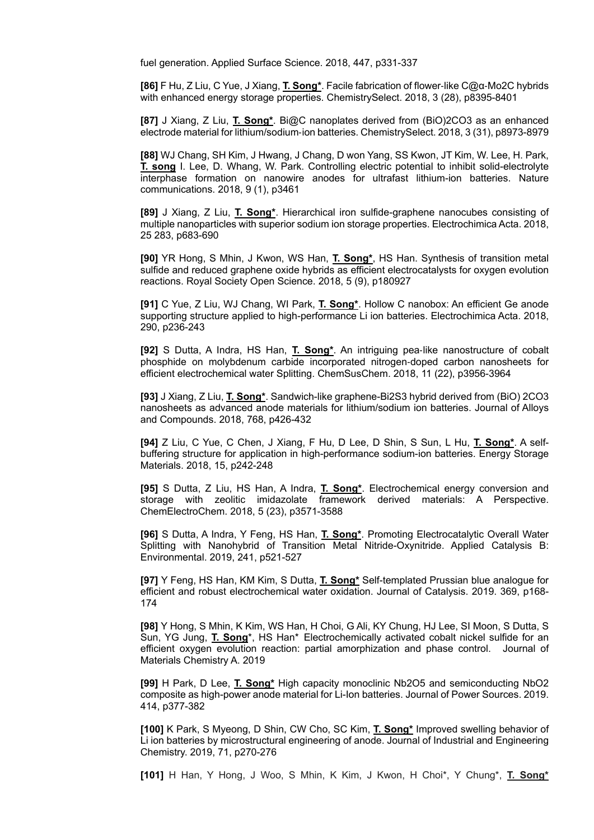fuel generation. Applied Surface Science. 2018, 447, p331-337

**[86]** F Hu, Z Liu, C Yue, J Xiang, **T. Song\***. Facile fabrication of flower-like C@α-Mo2C hybrids with enhanced energy storage properties. ChemistrySelect. 2018, 3 (28), p8395-8401

**[87]** J Xiang, Z Liu, **T. Song\***. Bi@C nanoplates derived from (BiO)2CO3 as an enhanced electrode material for lithium/sodium-ion batteries. ChemistrySelect. 2018, 3 (31), p8973-8979

**[88]** WJ Chang, SH Kim, J Hwang, J Chang, D won Yang, SS Kwon, JT Kim, W. Lee, H. Park, **T. song** I. Lee, D. Whang, W. Park. Controlling electric potential to inhibit solid-electrolyte interphase formation on nanowire anodes for ultrafast lithium-ion batteries. Nature communications. 2018, 9 (1), p3461

**[89]** J Xiang, Z Liu, **T. Song\***. Hierarchical iron sulfide-graphene nanocubes consisting of multiple nanoparticles with superior sodium ion storage properties. Electrochimica Acta. 2018, 25 283, p683-690

**[90]** YR Hong, S Mhin, J Kwon, WS Han, **T. Song\***, HS Han. Synthesis of transition metal sulfide and reduced graphene oxide hybrids as efficient electrocatalysts for oxygen evolution reactions. Royal Society Open Science. 2018, 5 (9), p180927

**[91]** C Yue, Z Liu, WJ Chang, WI Park, **T. Song\***. Hollow C nanobox: An efficient Ge anode supporting structure applied to high-performance Li ion batteries. Electrochimica Acta. 2018, 290, p236-243

**[92]** S Dutta, A Indra, HS Han, **T. Song\***. An intriguing pea-like nanostructure of cobalt phosphide on molybdenum carbide incorporated nitrogen-doped carbon nanosheets for efficient electrochemical water Splitting. ChemSusChem. 2018, 11 (22), p3956-3964

**[93]** J Xiang, Z Liu, **T. Song\***. Sandwich-like graphene-Bi2S3 hybrid derived from (BiO) 2CO3 nanosheets as advanced anode materials for lithium/sodium ion batteries. Journal of Alloys and Compounds. 2018, 768, p426-432

**[94]** Z Liu, C Yue, C Chen, J Xiang, F Hu, D Lee, D Shin, S Sun, L Hu, **T. Song\***. A selfbuffering structure for application in high-performance sodium-ion batteries. Energy Storage Materials. 2018, 15, p242-248

**[95]** S Dutta, Z Liu, HS Han, A Indra, **T. Song\***. Electrochemical energy conversion and storage with zeolitic imidazolate framework derived materials: A Perspective. ChemElectroChem. 2018, 5 (23), p3571-3588

**[96]** S Dutta, A Indra, Y Feng, HS Han, **T. Song\***. Promoting Electrocatalytic Overall Water Splitting with Nanohybrid of Transition Metal Nitride-Oxynitride. Applied Catalysis B: Environmental. 2019, 241, p521-527

**[97]** Y Feng, HS Han, KM Kim, S Dutta, **T. Song**\* Self-templated Prussian blue analogue for efficient and robust electrochemical water oxidation. Journal of Catalysis. 2019. 369, p168- 174

**[98]** Y Hong, S Mhin, K Kim, WS Han, H Choi, G Ali, KY Chung, HJ Lee, SI Moon, S Dutta, S Sun, YG Jung, **T. Song**\*, HS Han\* Electrochemically activated cobalt nickel sulfide for an efficient oxygen evolution reaction: partial amorphization and phase control. Journal of Materials Chemistry A. 2019

**[99]** H Park, D Lee, **T. Song\*** High capacity monoclinic Nb2O5 and semiconducting NbO2 composite as high-power anode material for Li-Ion batteries. Journal of Power Sources. 2019. 414, p377-382

**[100]** K Park, S Myeong, D Shin, CW Cho, SC Kim, **T. Song\*** Improved swelling behavior of Li ion batteries by microstructural engineering of anode. Journal of Industrial and Engineering Chemistry. 2019, 71, p270-276

**[101]** H Han, Y Hong, J Woo, S Mhin, K Kim, J Kwon, H Choi\*, Y Chung\*, **T. Song\***